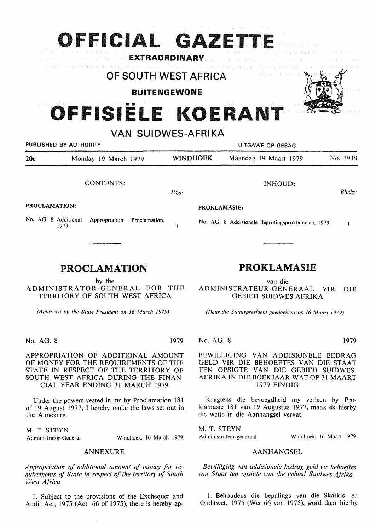|                      | OFFICIAL GAZETTE<br>a destinato que pouconsistante en la provincia de companya de la construcción de seu as estas ancoladas espectadores de<br>La concertadores de la casa como <b>EXTRAORDINARY</b> amendas en la temporal de la <sup>casa</sup> en la construcció |                                             |                                                   |               |  |
|----------------------|---------------------------------------------------------------------------------------------------------------------------------------------------------------------------------------------------------------------------------------------------------------------|---------------------------------------------|---------------------------------------------------|---------------|--|
|                      | o moind an averground brog production of homestics is preached attracted brandability officially and                                                                                                                                                                | OF SOUTH WEST AFRICA<br><b>BUITENGEWONE</b> | าและช่วยหาแก้กาแถดเลี้ย                           |               |  |
|                      | OFFISIËLE KOERANT                                                                                                                                                                                                                                                   | <b>VAN SUIDWES-AFRIKA</b>                   |                                                   |               |  |
|                      | PUBLISHED BY AUTHORITY                                                                                                                                                                                                                                              |                                             | UITGAWE OP GESAG                                  |               |  |
| 20c                  | Monday 19 March 1979                                                                                                                                                                                                                                                | <b>WINDHOEK</b>                             | Maandag 19 Maart 1979                             | No. 3919      |  |
|                      | <b>CONTENTS:</b>                                                                                                                                                                                                                                                    | Page                                        | <b>INHOUD:</b>                                    | <b>Bladsy</b> |  |
| <b>PROCLAMATION:</b> |                                                                                                                                                                                                                                                                     | <b>PROKLAMASIE:</b>                         |                                                   |               |  |
| No. AG. 8 Additional | Appropriation<br>Proclamation.<br>1070.                                                                                                                                                                                                                             |                                             | No. AG. 8 Addisionele Begrotingsproklamasie, 1979 |               |  |

**PROCLAMATION** 

by the ADMINISTRATOR-GENERAL FOR THE TERRITORY OF SOUTH WEST AFRICA

*(Approved by the State President on 16 March 1979)* 

No. AG. 8 1979

1979

APPROPRIATION OF ADDITIONAL AMOUNT OF MONEY FOR THE REQUIREMENTS OF THE STATE IN RESPECT OF THE TERRITORY OF SOUTH WEST AFRICA DURING THE FINAN-CIAL YEAR ENDING 31 MARCH 1979

Under the powers vested in me by Proclamation 181 of 19 August 1977, I hereby make the laws set out in the Annexure.

M. T. **STEYN** 

Administrator-General Windhoek, 16 March 1979

### ANNEXURE

*Appropriation of additional amount of money for requirements of State in respect of the territory of South West Africa* 

I. Subject to the provisions of the Exchequer and Audit Act, 1975 (Act 66 of 1975), there is hereby ap-

# **PROKLAMASIE**

van die ADMINISTRATEUR-GENERAAL VIR DIE GEBIED SUIDWES-AFRIKA

*(D<!ur die Staatspresident goedgekeur op /6 Maart 1979)* 

No. AG. 8 1979

#### BEWILLIGING VAN ADDISIONELE BEDRAG GELD VIR DIE BEHOEFTES VAN DIE STAAT TEN OPSIGTE VAN DIE GEBIED SUIDWES-AFRIKA IN DIE BOEKJAAR WAT OP 31 MAART 1979 EINDIG

Kragtens die bevoegdheid my verleen by Prok lamasie 181 van 19 Augustus 1977, maak ek hierby die wette in die Aanhangsel vervat.

M. T. **STEYN** 

Windhoek, 16 Maart 1979

### **AANHANGSEL**

*Bewilliging van addisionele bedrag geld vir behoeftes van Staal ten opsigte van die gebied Suidwes-Afrika* 

1. Behoudens die bepalings van die Skatkis- en Ouditwet, 1975 (Wet 66 van 1975), word daar hierby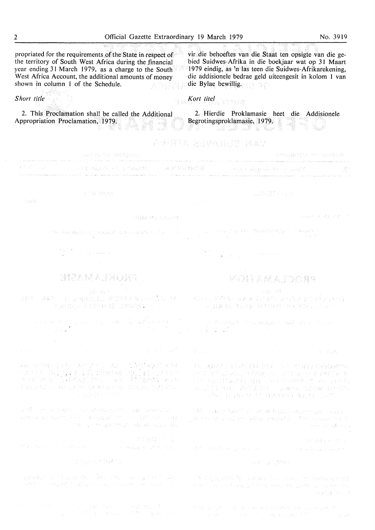propriated for the requirements of the State in,respect of vir die behoeftes van die Staat ten opsigte van die gebied Suidwes-Afrika in die boekjaar wat op 31 Maart the territory of South West Africa during the financial vear ending 31 March 1979, as a charge to the South 1979 eindig, as 'n las teen die Suidwes-Afrikarekening, West Africa Account, the additional amounts of money die addisionele bedrae geld uiteengesit in kolom I van die Bylae bewillig. shown in column 1 of the Schedule. 流合指導部 *Kort lite! Short title*  2. This Proclamation shall be called the Additional 2. Hierdie Proklamasie heet die Addisionele Appropriation Proclamation, 1979. Begrotingsproklamasie, 1979. A XIREA ABWGHIR MAV THROPHON THE CENTRAL 以后的产品的部分数据:  $\label{eq:constr} \hat{\sigma}_\pi(\hat{\alpha}\hat{\sigma}_\pi\hat{\phi}) = \hat{\sigma}_\pi(\hat{\sigma}_\pi\hat{\phi}) = \hat{\sigma}_\pi(\hat{\sigma}_\pi(\hat{\phi})\hat{\phi}) = \hat{\sigma}_\pi(\hat{\sigma}_\pi\hat{\phi}) = \hat{\sigma}_\pi(\hat{\sigma}_\pi\hat{\phi}) = \hat{\sigma}_\pi(\hat{\sigma}_\pi\hat{\phi}) = \hat{\sigma}_\pi(\hat{\sigma}_\pi\hat{\phi})$ , we see that the state loop set of<br>  $\alpha$  is a  $\beta$  -dimensionly approach<br>  $\beta$ an<br>An dari kalendar dan dalam dan berasa dan berasa dan penganjung penganjungan dan pelaku dan dalam dan berasa 这种有限的事件  $\Delta$  and 28834378837 (2) 一般認証状に1回し込む าง "สอง ของถูกเปล่างการเขตแต่กระดังปลูกเป็นสำคัญ" และได้ และ และ และ และ เปิด สาขา เรียกสีสรรษฎร์ และ สอบปรับป 77 iyo qar  $\label{eq:2.1} \begin{split} \mathcal{P} &\in \mathcal{P}(\mathcal{L}_{\mathcal{A}}) \times \mathcal{P}(\mathcal{L}_{\mathcal{A}}) = \mathcal{P}(\mathcal{L}_{\mathcal{A}}) \\ &\leq \mathcal{P}(\mathcal{L}_{\mathcal{A}}) \times \mathcal{P}(\mathcal{L}_{\mathcal{A}}) = \mathcal{P}(\mathcal{L}_{\mathcal{A}}) \times \mathcal{P}(\mathcal{L}_{\mathcal{A}}) \\ &\leq \mathcal{P}(\mathcal{L}_{\mathcal{A}}) \times \mathcal{P}(\mathcal{L}_{\mathcal{A}}) \times \mathcal{$  $\label{eq:2.1} \frac{1}{\sqrt{2}}\left(\frac{1}{\sqrt{2}}\left(\frac{1}{\sqrt{2}}\right)^2\right)=\frac{1}{\sqrt{2}}\left(\frac{1}{\sqrt{2}}\right)^2\left(\frac{1}{\sqrt{2}}\right)^2\left(\frac{1}{\sqrt{2}}\right)^2\left(\frac{1}{\sqrt{2}}\right)^2\left(\frac{1}{\sqrt{2}}\right)^2\left(\frac{1}{\sqrt{2}}\right)^2\left(\frac{1}{\sqrt{2}}\right)^2\left(\frac{1}{\sqrt{2}}\right)^2\left(\frac{1}{\sqrt{2}}\right)^2\left(\frac{1}{\sqrt{2}}\right)^2$ STAMAJNOMS **KOITAMA.IDONS** 5B1 98 出自己 建模 计自动运算时间 计数据技术 经运营管理 化二甲基异丙二甲酰胺 耳塞牙亚氏征 医假生产女性医乳牙球菌 「不見も発行する」と呼ばれませば名人は特徴が残す。 イー・コード (2) 2) 24 亿元的第三组 1000 年度 1200 元/ 2000  $\label{eq:2} \frac{1}{2} \int_{\mathbb{R}^3} \left| \frac{d\mathbf{y}}{d\mathbf{y}} \right|^2 \, d\mathbf{y} \, d\mathbf{y} \, d\mathbf{y} \, d\mathbf{y} \, d\mathbf{y} \, d\mathbf{y} \, d\mathbf{y} \, d\mathbf{y} \, d\mathbf{y} \, d\mathbf{y} \, d\mathbf{y} \, d\mathbf{y} \, d\mathbf{y} \, d\mathbf{y} \, d\mathbf{y} \, d\mathbf{y} \, d\mathbf{y} \, d\mathbf{y} \, d\mathbf{$ S GA 第四天第五月 计八字信道 医托尔因氏征 计不均值字 的现在分词形式 计任务时代 法职业的证书参与权 不是 计打印调查 化乙烯酸盐 医脑室 107 / 2011 林克人的 [ 胜} ( 100) 010年82月 23日 247 台 (网络连续), 有效能不容, 建木材设置 病, 铜红彩, 而才同信。 网络水管 医具有 浮水的发展() 医具身状的 经者的权 自由性的 THE PUBLIC IS DESCRIPTED AND LAST. and spill account is a director and subsistency.<br>Vanalasies doors als to a populate the score (with he curp 181 count tout within bobbs above, put could , or two too scale out colour bound  $\tau=0.01$  . The sequel out if m to the same of the will have sur-Service of St. Story 文得算"是 30岁日, 2012年 Michael State (1982) and State Communications of the page of communication a de la Grigoria Galeria 计划时间 保健的 将果实 2 保存储金 tryntys ar oldu ar ddiwyddiad a'i chan y bobl yn y y y y y gydraid y cannau i centru i gynastau ynthyr ar y sy<br>Ar bobl a ddarfol alen eu ar centru cynnwyddiol o como a mae'i ar centru'r y centru'r y gynastau ar centru'r a and the large completely likely the second completely and the complete the 经国务部门 A NEW STREET FROM THE REPORT OF STREET FOR THE REPORT OF

a territoria e constituir a la población de la computación de la parte de la computación de la computación de<br>La parte de la computación de la computación de la parte de la parte de la parte de la parte de la parte de l